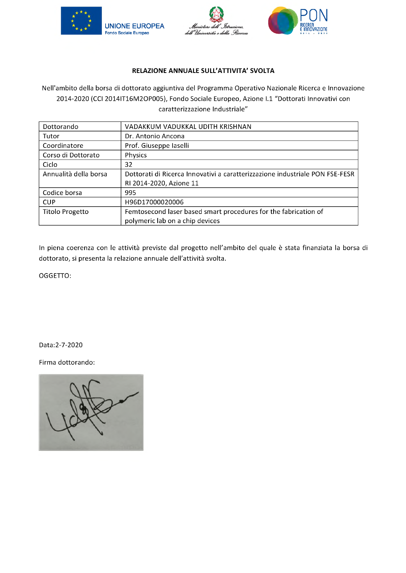



#### **RELAZIONE ANNUALE SULL'ATTIVITA' SVOLTA**

Nell'ambito della borsa di dottorato aggiuntiva del Programma Operativo Nazionale Ricerca e Innovazione 2014-2020 (CCI 2014IT16M2OP005), Fondo Sociale Europeo, Azione I.1 "Dottorati Innovativi con caratterizzazione Industriale"

| Dottorando             | VADAKKUM VADUKKAL UDITH KRISHNAN                                             |
|------------------------|------------------------------------------------------------------------------|
| Tutor                  | Dr. Antonio Ancona                                                           |
| Coordinatore           | Prof. Giuseppe Iaselli                                                       |
| Corso di Dottorato     | Physics                                                                      |
| Ciclo                  | 32                                                                           |
| Annualità della borsa  | Dottorati di Ricerca Innovativi a caratterizzazione industriale PON FSE-FESR |
|                        | RI 2014-2020, Azione 11                                                      |
| Codice borsa           | 995                                                                          |
| <b>CUP</b>             | H96D17000020006                                                              |
| <b>Titolo Progetto</b> | Femtosecond laser based smart procedures for the fabrication of              |
|                        | polymeric lab on a chip devices                                              |

In piena coerenza con le attività previste dal progetto nell'ambito del quale è stata finanziata la borsa di dottorato, si presenta la relazione annuale dell'attività svolta.

OGGETTO:

Data:2-7-2020

Firma dottorando:

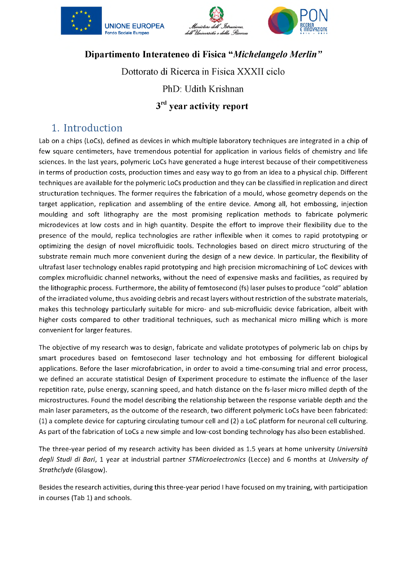





# **Dipartimento Interateneo di Fisica** *"Michelangelo Merlin "*

Dottorato di Ricerca in Fisica XXXII ciclo

PhD: Udith Krishnan

# **3rd year activity report**

# **1. Introduction**

Lab on a chips (LoCs), defined as devices in which multiple laboratory techniques are integrated in a chip of few square centimeters, have tremendous potential for application in various fields of chemistry and life sciences. In the last years, polymeric LoCs have generated a huge interest because of their competitiveness in terms of production costs, production times and easy way to go from an idea to a physical chip. Different structuration techniques. The former requires the fabrication of a mould, whose geometry depends on the target application, replication and assembling of the entire device. Among all, hot embossing, injection moulding and soft lithography are the most promising replication methods to fabricate polymeric microdevices at low costs and in high quantity. Despite the effort to improve their flexibility due to the presence of the mould, replica technologies are rather inflexible when it comes to rapid prototyping or optimizing the design of novel microfluidic tools. Technologies based on direct micro structuring of the substrate remain much more convenient during the design of a new device. In particular, the flexibility of ultrafast laser technology enables rapid prototyping and high precision micromachining of LoC devices with complex microfluidic channel networks, without the need of expensive masks and facilities, as required by the lithographic process. Furthermore, the ability of femtosecond (fs) laser pulses to produce "cold" ablation of the irradiated volume, thus avoiding debris and recast layers without restriction of the substrate materials, makes this technology particularly suitable for micro- and sub-microfluidic device fabrication, albeit with higher costs compared to other traditional techniques, such as mechanical micro milling which is more convenient for larger features. techniques are available for the polymeric LoCs production and they can be classified in replication and direct

The objective of my research was to design, fabricate and validate prototypes of polymeric lab on chips by smart procedures based on femtosecond laser technology and hot embossing for different biological applications. Before the laser microfabrication, in order to avoid a time-consuming trial and error process, we defined an accurate statistical Design of Experiment procedure to estimate the influence of the laser repetition rate, pulse energy, scanning speed, and hatch distance on the fs-laser micro milled depth of the microstructures. Found the model describing the relationship between the response variable depth and the main laser parameters, as the outcome of the research, two different polymeric LoCs have been fabricated: (1) a complete device for capturing circulating tumour cell and (2) a LoC platform for neuronal cell culturing. As part of the fabrication of LoCs a new simple and low-cost bonding technology has also been established.

The three-year period of my research activity has been divided as 1.5 years at home university *Università degli Studi di Bari,* 1 year at industrial partner *STMicroelectronics* (Lecce) and 6 months at *University of Strathclyde* (Glasgow).

Besides the research activities, during this three-year period I have focused on my training, with participation in courses (Tab 1) and schools.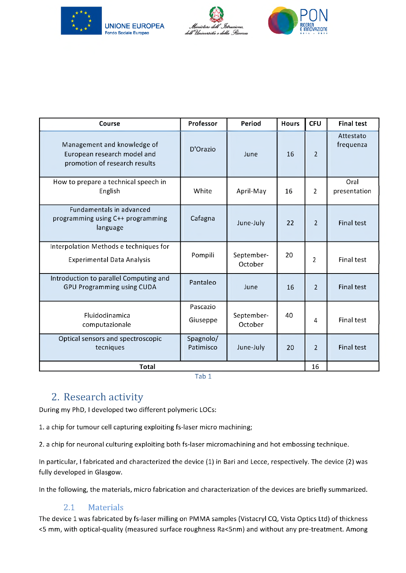





| Course                                                                                      | Professor              | Period                | <b>Hours</b> | <b>CFU</b>               | <b>Final test</b>      |
|---------------------------------------------------------------------------------------------|------------------------|-----------------------|--------------|--------------------------|------------------------|
| Management and knowledge of<br>European research model and<br>promotion of research results | D'Orazio               | June                  | 16           | $\overline{2}$           | Attestato<br>frequenza |
| How to prepare a technical speech in<br>English                                             | White                  | April-May             | 16           | $\overline{2}$           | Oral<br>presentation   |
| Fundamentals in advanced<br>programming using C++ programming<br>language                   | Cafagna                | June-July             | 22           | $\overline{\phantom{a}}$ | <b>Final test</b>      |
| Interpolation Methods e techniques for<br><b>Experimental Data Analysis</b>                 | Pompili                | September-<br>October | 20           | $\overline{2}$           | <b>Final test</b>      |
| Introduction to parallel Computing and<br><b>GPU Programming using CUDA</b>                 | Pantaleo               | June                  | 16           | $\overline{2}$           | <b>Final test</b>      |
| Fluidodinamica<br>computazionale                                                            | Pascazio<br>Giuseppe   | September-<br>October | 40           | 4                        | <b>Final test</b>      |
| Optical sensors and spectroscopic<br>tecniques                                              | Spagnolo/<br>Patimisco | June-July             | 20           | $\overline{2}$           | <b>Final test</b>      |
| <b>Total</b>                                                                                |                        |                       |              |                          |                        |

Tab 1

# **2. Research activity**

During my PhD, I developed two different polymeric LOCs:

1. a chip for tumour cell capturing exploiting fs-laser micro machining;

2. a chip for neuronal culturing exploiting both fs-laser micromachining and hot embossing technique.

In particular, I fabricated and characterized the device (1) in Bari and Lecce, respectively. The device (2) was fully developed in Glasgow.

In the following, the materials, micro fabrication and characterization of the devices are briefly summarized.

## **2.1 Materials**

The device 1 was fabricated by fs-laser milling on PMMA samples (Vistacryl CQ, Vista Optics Ltd) of thickness <5 mm, with optical-quality (measured surface roughness Ra<5nm) and without any pre-treatment. Among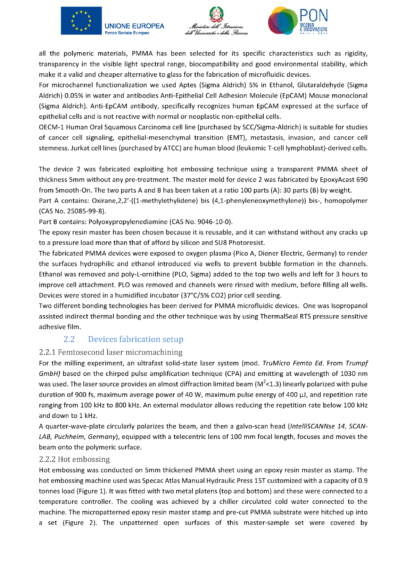



all the polymeric materials, PMMA has been selected for its specific characteristics such as rigidity, transparency in the visible light spectral range, biocompatibility and good environmental stability, which make it a valid and cheaper alternative to glass for the fabrication of microfluidic devices.

For microchannel functionalization we used Aptes (Sigma Aldrich) 5% in Ethanol, Glutaraldehyde (Sigma Aldrich) 0.05% in water and antibodies Anti-Epithelial Cell Adhesion Molecule (EpCAM) Mouse monoclonal (Sigma Aldrich). Anti-EpCAM antibody, specifically recognizes human EpCAM expressed at the surface of epithelial cells and is not reactive with normal or neoplastic non-epithelial cells.

OECM-1 Human Oral Squamous Carcinoma cell line (purchased by SCC/Sigma-Aldrich) is suitable for studies of cancer cell signaling, epithelial-mesenchymal transition (EMT), metastasis, invasion, and cancer cell stemness. Jurkat cell lines (purchased by ATCC) are human blood (leukemic T-cell lymphoblast)-derived cells.

The device 2 was fabricated exploiting hot embossing technique using a transparent PMMA sheet of thickness 5mm without any pre-treatment. The master mold for device 2 was fabricated by EpoxyAcast 690 from Smooth-On. The two parts A and B has been taken at a ratio 100 parts (A): 30 parts (B) by weight.

Part A contains: Oxirane,2,2'-((1-methylethylidene) bis (4,1-phenyleneoxymethylene)) bis-, homopolymer (CAS No. 25085-99-8).

Part B contains: Polyoxypropylenediamine (CAS No. 9046-10-0).

The epoxy resin master has been chosen because it is reusable, and it can withstand without any cracks up to a pressure load more than that of afford by silicon and SU8 Photoresist.

The fabricated PMMA devices were exposed to oxygen plasma (Pico A, Diener Electric, Germany) to render the surfaces hydrophilic and ethanol introduced via wells to prevent bubble formation in the channels. Ethanol was removed and poly-L-ornithine (PLO, Sigma) added to the top two wells and left for 3 hours to improve cell attachment. PLO was removed and channels were rinsed with medium, before filling all wells. Devices were stored in a humidified incubator (37°C/5% CO2) prior cell seeding.

Two different bonding technologies has been derived for PMMA microfluidic devices. One was Isopropanol assisted indirect thermal bonding and the other technique was by using ThermalSeal RTS pressure sensitive adhesive film.

# **2.2 Devices fabrication setup**

### **2.2.1 Femtosecond laser micromachining**

For the milling experiment, an ultrafast solid-state laser system (mod. *TruMicro Femto Ed.* From *Trumpf GmbH)* based on the chirped pulse amplification technique (CPA) and emitting at wavelength of 1030 nm was used. The laser source provides an almost diffraction limited beam ( $M^2$ <1.3) linearly polarized with pulse duration of 900 fs, maximum average power of 40 W, maximum pulse energy of 400  $\mu$ J, and repetition rate ranging from 100 kHz to 800 kHz. An external modulator allows reducing the repetition rate below 100 kHz and down to 1 kHz.

A quarter-wave-plate circularly polarizes the beam, and then a galvo-scan head *(IntelliSCANNse 14, SCAN-LAB, Puchheim, Germany),* equipped with a telecentric lens of 100 mm focal length, focuses and moves the beam onto the polymeric surface.

#### **2.2.2 Hot embossing**

Hot embossing was conducted on 5mm thickened PMMA sheet using an epoxy resin master as stamp. The hot embossing machine used was Specac Atlas Manual Hydraulic Press 15T customized with a capacity of 0.9 tonnes load (Figure 1). It was fitted with two metal platens (top and bottom) and these were connected to a temperature controller. The cooling was achieved by a chiller circulated cold water connected to the machine. The micropatterned epoxy resin master stamp and pre-cut PMMA substrate were hitched up into a set (Figure 2). The unpatterned open surfaces of this master-sample set were covered by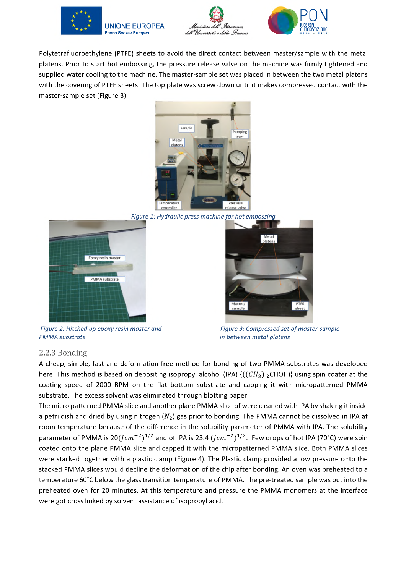





Polytetrafluoroethylene (PTFE) sheets to avoid the direct contact between master/sample with the metal platens. Prior to start hot embossing, the pressure release valve on the machine was firmly tightened and supplied water cooling to the machine. The master-sample set was placed in between the two metal platens with the covering of PTFE sheets. The top plate was screw down until it makes compressed contact with the master-sample set (Figure 3).



*Figure 1: Hydraulic press machine for hot embossing* 





*Figure 2: Hitched up epoxy resin master and PMMA substrate*

*Figure 3: Compressed set of master-sample in between metal platens*

## *2.2.3* **Bonding**

A cheap, simple, fast and deformation free method for bonding of two PMMA substrates was developed here. This method is based on depositing isopropyl alcohol (IPA)  ${((CH<sub>3</sub>)<sub>2</sub>CHOH)}$  using spin coater at the coating speed of 2000 RPM on the flat bottom substrate and capping it with micropatterned PMMA substrate. The excess solvent was eliminated through blotting paper.

The micro patterned PMMA slice and another plane PMMA slice of were cleaned with IPA by shaking it inside a petri dish and dried by using nitrogen *(N2)* gas prior to bonding. The PMMA cannot be dissolved in IPA at room temperature because of the difference in the solubility parameter of PMMA with IPA. The solubility parameter of PMMA is  $20(Icm^{-2})^{1/2}$  and of IPA is 23.4  $(Icm^{-2})^{1/2}$ . Few drops of hot IPA (70°C) were spin coated onto the plane PMMA slice and capped it with the micropatterned PMMA slice. Both PMMA slices were stacked together with a plastic clamp (Figure 4). The Plastic clamp provided a low pressure onto the stacked PMMA slices would decline the deformation of the chip after bonding. An oven was preheated to a temperature 60°C below the glass transition temperature of PMMA. The pre-treated sample was put into the preheated oven for 20 minutes. At this temperature and pressure the PMMA monomers at the interface were got cross linked by solvent assistance of isopropyl acid.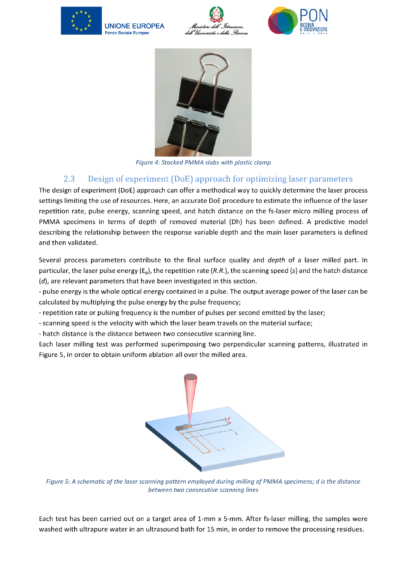







*Figure 4: Stacked PMMA slabs with plastic clamp*

# **2.3 Design of experiment (DoE) approach for optimizing laser parameters**

The design of experiment (DoE) approach can offer a methodical way to quickly determine the laser process settings limiting the use of resources. Here, an accurate DoE procedure to estimate the influence of the laser repetition rate, pulse energy, scanning speed, and hatch distance on the fs-laser micro milling process of PMMA specimens in terms of depth of removed material (Dh) has been defined. A predictive model describing the relationship between the response variable depth and the main laser parameters is defined and then validated.

Several process parameters contribute to the final surface quality and *depth* of a laser milled part. In particular, the laser pulse energy ( $E_p$ ), the repetition rate (R.R.), the scanning speed (s) and the hatch distance (d), are relevant parameters that have been investigated in this section.

- pulse energy is the whole optical energy contained in a pulse. The output average power of the laser can be calculated by multiplying the pulse energy by the pulse frequency;

- repetition rate or pulsing frequency is the number of pulses per second emitted by the laser;

- scanning speed is the velocity with which the laser beam travels on the material surface;

- hatch distance is the distance between two consecutive scanning line.

Each laser milling test was performed superimposing two perpendicular scanning patterns, illustrated in Figure 5, in order to obtain uniform ablation all over the milled area.



*Figure 5: A schematic of the laser scanning pattern employed during milling of PMMA specimens; d is the distance between two consecutive scanning lines*

Each test has been carried out on a target area of 1-mm x 5-mm. After fs-laser milling, the samples were washed with ultrapure water in an ultrasound bath for 15 min, in order to remove the processing residues.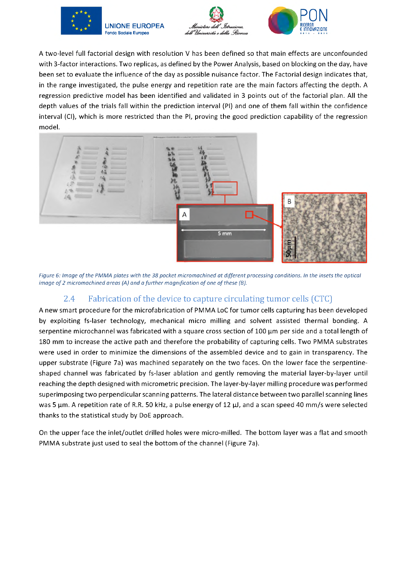





A two-level full factorial design with resolution V has been defined so that main effects are unconfounded with 3-factor interactions. Two replicas, as defined by the Power Analysis, based on blocking on the day, have been set to evaluate the influence of the day as possible nuisance factor. The Factorial design indicates that, in the range investigated, the pulse energy and repetition rate are the main factors affecting the depth. A regression predictive model has been identified and validated in 3 points out of the factorial plan. All the depth values of the trials fall within the prediction interval (PI) and one of them fall within the confidence interval (CI), which is more restricted than the PI, proving the good prediction capability of the regression model.



*Figure 6: Image of the PMMA plates with the 38 pocket micromachined at different processing conditions. In the insets the optical image of 2 micromachined areas (A) and a further magnification of one of these (B).*

## **2.4 Fabrication of the device to capture circulating tumor cells (CTC)**

A new smart procedure for the microfabrication of PMMA LoC for tumor cells capturing has been developed by exploiting fs-laser technology, mechanical micro milling and solvent assisted thermal bonding. A serpentine microchannel was fabricated with a square cross section of 100 µm per side and a total length of 180 mm to increase the active path and therefore the probability of capturing cells. Two PMMA substrates were used in order to minimize the dimensions of the assembled device and to gain in transparency. The upper substrate (Figure 7a) was machined separately on the two faces. On the lower face the serpentineshaped channel was fabricated by fs-laser ablation and gently removing the material layer-by-layer until reaching the depth designed with micrometric precision. The layer-by-layer milling procedure was performed superimposing two perpendicular scanning patterns. The lateral distance between two parallel scanning lines was 5  $\mu$ m. A repetition rate of R.R. 50 kHz, a pulse energy of 12  $\mu$ , and a scan speed 40 mm/s were selected thanks to the statistical study by DoE approach.

On the upper face the inlet/outlet drilled holes were micro-milled. The bottom layer was a flat and smooth PMMA substrate just used to seal the bottom of the channel (Figure 7a).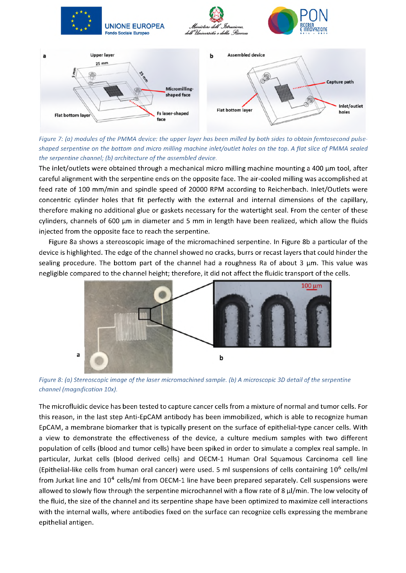

*Figure 7: (a) modules of the PMMA device: the upper layer has been milled by both sides to obtain femtosecond pulse*shaped serpentine on the bottom and micro milling machine inlet/outlet holes on the top. A flat slice of PMMA sealed *the serpentine channel; (b) architecture of the assembled device.*

The inlet/outlets were obtained through a mechanical micro milling machine mounting a 400  $\mu$ m tool, after careful alignment with the serpentine ends on the opposite face. The air-cooled milling was accomplished at feed rate of 100 mm/min and spindle speed of 20000 RPM according to Reichenbach. Inlet/Outlets were concentric cylinder holes that fit perfectly with the external and internal dimensions of the capillary, therefore making no additional glue or gaskets necessary for the watertight seal. From the center of these cylinders, channels of 600  $\mu$ m in diameter and 5 mm in length have been realized, which allow the fluids injected from the opposite face to reach the serpentine.

Figure 8a shows a stereoscopic image of the micromachined serpentine. In Figure 8b a particular of the device is highlighted. The edge of the channel showed no cracks, burrs or recast layers that could hinder the sealing procedure. The bottom part of the channel had a roughness Ra of about 3 µm. This value was negligible compared to the channel height; therefore, it did not affect the fluidic transport of the cells.



*Figure 8: (a) Stereoscopic image of the laser micromachined sample. (b) A microscopic 3D detail of the serpentine channel (magnification 10x).*

The microfluidic device has been tested to capture cancer cells from a mixture of normal and tumor cells. For this reason, in the last step Anti-EpCAM antibody has been immobilized, which is able to recognize human EpCAM, a membrane biomarker that is typically present on the surface of epithelial-type cancer cells. With a view to demonstrate the effectiveness of the device, a culture medium samples with two different population of cells (blood and tumor cells) have been spiked in order to simulate a complex real sample. In particular, Jurkat cells (blood derived cells) and OECM-1 Human Oral Squamous Carcinoma cell line (Epithelial-like cells from human oral cancer) were used. 5 ml suspensions of cells containing  $10^6$  cells/ml from Jurkat line and  $10<sup>4</sup>$  cells/ml from OECM-1 line have been prepared separately. Cell suspensions were allowed to slowly flow through the serpentine microchannel with a flow rate of 8  $\mu$ /min. The low velocity of the fluid, the size of the channel and its serpentine shape have been optimized to maximize cell interactions with the internal walls, where antibodies fixed on the surface can recognize cells expressing the membrane epithelial antigen.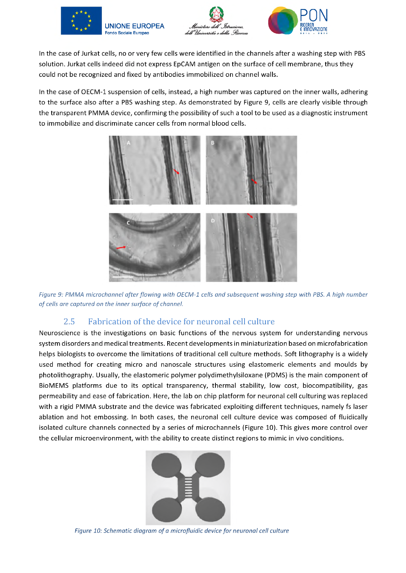



In the case of Jurkat cells, no or very few cells were identified in the channels after a washing step with PBS solution. Jurkat cells indeed did not express EpCAM antigen on the surface of cell membrane, thus they could not be recognized and fixed by antibodies immobilized on channel walls.

In the case of OECM-1 suspension of cells, instead, a high number was captured on the inner walls, adhering to the surface also after a PBS washing step. As demonstrated by Figure 9, cells are clearly visible through the transparent PMMA device, confirming the possibility of such a tool to be used as a diagnostic instrument to immobilize and discriminate cancer cells from normal blood cells.



*Figure 9: PMMA microchannel after flowing with OECM-1 cells and subsequent washing step with PBS. A high number of cells are captured on the inner surface of channel.*

# **2.5 Fabrication of the device for neuronal cell culture**

Neuroscience is the investigations on basic functions of the nervous system for understanding nervous system disorders and medical treatments. Recent developments in miniaturization based on microfabrication helps biologists to overcome the limitations of traditional cell culture methods. Soft lithography is a widely used method for creating micro and nanoscale structures using elastomeric elements and moulds by photolithography. Usually, the elastomeric polymer polydimethylsiloxane (PDMS) is the main component of BioMEMS platforms due to its optical transparency, thermal stability, low cost, biocompatibility, gas permeability and ease of fabrication. Here, the lab on chip platform for neuronal cell culturing was replaced with a rigid PMMA substrate and the device was fabricated exploiting different techniques, namely fs laser ablation and hot embossing. In both cases, the neuronal cell culture device was composed of fluidically isolated culture channels connected by a series of microchannels (Figure 10). This gives more control over the cellular microenvironment, with the ability to create distinct regions to mimic in vivo conditions.



Figure 10: Schematic diagram of a microfluidic device for neuronal cell culture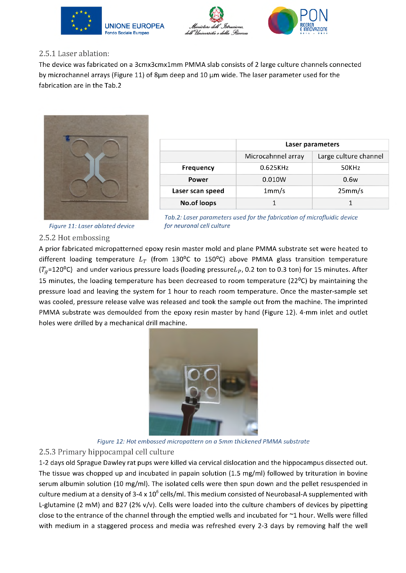





### **2.5.1 Laser ablation:**

The device was fabricated on a 3cmx3cmx1mm PMMA slab consists of 2 large culture channels connected by microchannel arrays (Figure 11) of  $8\mu$ m deep and 10  $\mu$ m wide. The laser parameter used for the fabrication are in the Tab.2



|                  | Laser parameters   |                       |  |  |
|------------------|--------------------|-----------------------|--|--|
|                  | Microcahnnel array | Large culture channel |  |  |
| <b>Frequency</b> | 0.625KHz           | 50KHz                 |  |  |
| Power            | 0.010W             | 0.6w                  |  |  |
| Laser scan speed | 1mm/s              | 25mm/s                |  |  |
| No.of loops      |                    |                       |  |  |

*Figure 11: Laser ablated device* 

| Tab.2: Laser parameters used for the fabrication of microfluidic device |  |  |
|-------------------------------------------------------------------------|--|--|
| for neuronal cell culture                                               |  |  |

### **2.5.2 Hot embossing**

A prior fabricated micropatterned epoxy resin master mold and plane PMMA substrate set were heated to different loading temperature  $L_T$  (from 130°C to 150°C) above PMMA glass transition temperature ( $T<sub>g</sub>=120<sup>o</sup>C$ ) and under various pressure loads (loading pressure $L<sub>P</sub>$ , 0.2 ton to 0.3 ton) for 15 minutes. After 15 minutes, the loading temperature has been decreased to room temperature (22 $^{\circ}$ C) by maintaining the pressure load and leaving the system for 1 hour to reach room temperature. Once the master-sample set was cooled, pressure release valve was released and took the sample out from the machine. The imprinted PMMA substrate was demoulded from the epoxy resin master by hand (Figure 12). 4-mm inlet and outlet holes were drilled by a mechanical drill machine.



*Figure 12: Hot embossed micropattern on a 5mm thickened PMMA substrate*

#### **2.5.3 Primary hippocampal cell culture**

1-2 days old Sprague Dawley rat pups were killed via cervical dislocation and the hippocampus dissected out. The tissue was chopped up and incubated in papain solution (1.5 mg/ml) followed by trituration in bovine serum albumin solution (10 mg/ml). The isolated cells were then spun down and the pellet resuspended in culture medium at a density of 3-4 x  $10^6$  cells/ml. This medium consisted of Neurobasal-A supplemented with L-glutamine (2 mM) and B27 (2% v/v). Cells were loaded into the culture chambers of devices by pipetting close to the entrance of the channel through the emptied wells and incubated for ~1 hour. Wells were filled with medium in a staggered process and media was refreshed every 2-3 days by removing half the well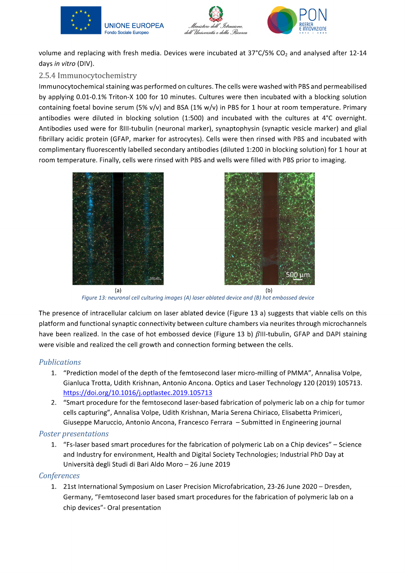



volume and replacing with fresh media. Devices were incubated at  $37^{\circ}C/5\%$  CO<sub>2</sub> and analysed after 12-14 days *in vitro* (DIV).

## **2.5.4 Immunocytochemistry**

Immunocytochemical staining was performed on cultures. The cells were washed with PBS and permeabilised by applying 0.01-0.1% Triton-X 100 for 10 minutes. Cultures were then incubated with a blocking solution containing foetal bovine serum (5% v/v) and BSA (1% w/v) in PBS for 1 hour at room temperature. Primary antibodies were diluted in blocking solution (1:500) and incubated with the cultures at 4°C overnight. Antibodies used were for RIII-tubulin (neuronal marker), synaptophysin (synaptic vesicle marker) and glial fibrillary acidic protein (GFAP, marker for astrocytes). Cells were then rinsed with PBS and incubated with complimentary fluorescently labelled secondary antibodies (diluted 1:200 in blocking solution) for 1 hour at room temperature. Finally, cells were rinsed with PBS and wells were filled with PBS prior to imaging.





**(a) (b)** *Figure 13: neuronal cell culturing images (A) laser ablated device and (B) hot embossed device*

The presence of intracellular calcium on laser ablated device (Figure 13 a) suggests that viable cells on this platform and functional synaptic connectivity between culture chambers via neurites through microchannels have been realized. In the case of hot embossed device (Figure 13 b)  $\beta$ III-tubulin, GFAP and DAPI staining were visible and realized the cell growth and connection forming between the cells.

### *Publications*

- 1. "Prediction model of the depth of the femtosecond laser micro-milling of PMMA", Annalisa Volpe, Gianluca Trotta, Udith Krishnan, Antonio Ancona. Optics and Laser Technology 120 (2019) 105713. https://doi.org/10.1016/j.optlastec.2019.105713
- 2. "Smart procedure for the femtosecond laser-based fabrication of polymeric lab on a chip for tumor cells capturing", Annalisa Volpe, Udith Krishnan, Maria Serena Chiriaco, Elisabetta Primiceri, Giuseppe Maruccio, Antonio Ancona, Francesco Ferrara - Submitted in Engineering journal

#### *Poster presentations*

1. "Fs-laser based smart procedures for the fabrication of polymeric Lab on a Chip devices" - Science and Industry for environment, Health and Digital Society Technologies; Industrial PhD Day at Università degli Studi di Bari Aldo Moro - 26 June 2019

### *Conferences*

1. 21st International Symposium on Laser Precision Microfabrication, 23-26 June 2020 - Dresden, Germany, "Femtosecond laser based smart procedures for the fabrication of polymeric lab on a chip devices"- Oral presentation